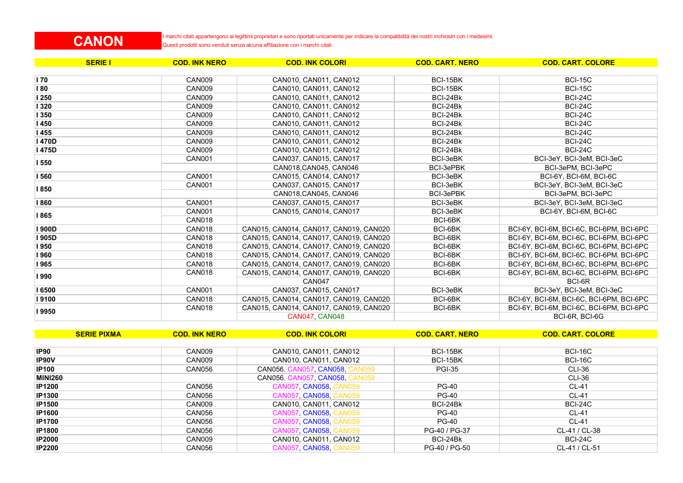## **CANON**

I marchi citati appartengono ai legittimi proprietari e sono riportati unicamente per indicare la compatibilità dei nostri inchiostri con i medesimi. Questi prodotti sono venduti senza alcuna affiliazione con i marchi citati.

| <b>SERIE I</b> | <b>COD. INK NERO</b> | <b>COD. INK COLORI</b>                 | <b>COD. CART. NERO</b> | <b>COD. CART. COLORE</b>                 |
|----------------|----------------------|----------------------------------------|------------------------|------------------------------------------|
|                |                      |                                        |                        |                                          |
| ll 70          | <b>CAN009</b>        | CAN010, CAN011, CAN012                 | BCI-15BK               | <b>BCI-15C</b>                           |
| <b>180</b>     | CAN009               | CAN010, CAN011, CAN012                 | BCI-15BK               | <b>BCI-15C</b>                           |
| 1250           | CAN009               | CAN010, CAN011, CAN012                 | BCI-24Bk               | <b>BCI-24C</b>                           |
| <b>1320</b>    | CAN009               | CAN010, CAN011, CAN012                 | BCI-24Bk               | <b>BCI-24C</b>                           |
| 1350           | CAN009               | CAN010, CAN011, CAN012                 | BCI-24Bk               | <b>BCI-24C</b>                           |
| l 450          | CAN009               | CAN010, CAN011, CAN012                 | BCI-24Bk               | <b>BCI-24C</b>                           |
| l 455          | CAN009               | CAN010, CAN011, CAN012                 | BCI-24Bk               | <b>BCI-24C</b>                           |
| 1470D          | <b>CAN009</b>        | CAN010, CAN011, CAN012                 | BCI-24Bk               | <b>BCI-24C</b>                           |
| I 475D         | CAN009               | CAN010, CAN011, CAN012                 | BCI-24Bk               | <b>BCI-24C</b>                           |
| <b>I 550</b>   | CAN001               | CAN037, CAN015, CAN017                 | BCI-3eBK               | BCI-3eY, BCI-3eM, BCI-3eC                |
|                |                      | CAN018.CAN045. CAN046                  | <b>BCI-3ePBK</b>       | BCI-3ePM, BCI-3ePC                       |
| l 560          | <b>CAN001</b>        | CAN015, CAN014, CAN017                 | BCI-3eBK               | BCI-6Y, BCI-6M, BCI-6C                   |
| 1850           | <b>CAN001</b>        | CAN037, CAN015, CAN017                 | BCI-3eBK               | BCI-3eY, BCI-3eM, BCI-3eC                |
|                |                      | CAN018.CAN045. CAN046                  | BCI-3ePBK              | BCI-3ePM, BCI-3ePC                       |
| 1860           | <b>CAN001</b>        | CAN037, CAN015, CAN017                 | BCI-3eBK               | BCI-3eY, BCI-3eM, BCI-3eC                |
| <b>1865</b>    | <b>CAN001</b>        | CAN015, CAN014, CAN017                 | BCI-3eBK               | BCI-6Y, BCI-6M, BCI-6C                   |
|                | <b>CAN018</b>        |                                        | BCI-6BK                |                                          |
| 1900D          | <b>CAN018</b>        | CAN015, CAN014, CAN017, CAN019, CAN020 | BCI-6BK                | BCI-6Y, BCI-6M, BCI-6C, BCI-6PM, BCI-6PC |
| I 905D         | <b>CAN018</b>        | CAN015, CAN014, CAN017, CAN019, CAN020 | BCI-6BK                | BCI-6Y, BCI-6M, BCI-6C, BCI-6PM, BCI-6PC |
| l 950          | <b>CAN018</b>        | CAN015, CAN014, CAN017, CAN019, CAN020 | BCI-6BK                | BCI-6Y, BCI-6M, BCI-6C, BCI-6PM, BCI-6PC |
| 1960           | <b>CAN018</b>        | CAN015, CAN014, CAN017, CAN019, CAN020 | BCI-6BK                | BCI-6Y, BCI-6M, BCI-6C, BCI-6PM, BCI-6PC |
| <b>1965</b>    | <b>CAN018</b>        | CAN015, CAN014, CAN017, CAN019, CAN020 | BCI-6BK                | BCI-6Y, BCI-6M, BCI-6C, BCI-6PM, BCI-6PC |
| <b>1990</b>    | CAN018               | CAN015, CAN014, CAN017, CAN019, CAN020 | BCI-6BK                | BCI-6Y, BCI-6M, BCI-6C, BCI-6PM, BCI-6PC |
|                |                      | <b>CAN047</b>                          |                        | BCI-6R                                   |
| 16500          | <b>CAN001</b>        | CAN037, CAN015, CAN017                 | BCI-3eBK               | BCI-3eY, BCI-3eM, BCI-3eC                |
| 9100           | <b>CAN018</b>        | CAN015, CAN014, CAN017, CAN019, CAN020 | BCI-6BK                | BCI-6Y, BCI-6M, BCI-6C, BCI-6PM, BCI-6PC |
| 19950          | CAN018               | CAN015, CAN014, CAN017, CAN019, CAN020 | BCI-6BK                | BCI-6Y, BCI-6M, BCI-6C, BCI-6PM, BCI-6PC |
|                |                      | <b>CAN047, CAN048</b>                  |                        | BCI-6R, BCI-6G                           |

**SERIE PIXMA COD. INK NERO COD. INK COLORI COD. CART. NERO COD. CART. COLORE IP90** CANOO9 CANOO9 CANOO10, CANOO11, CANOO2 BCI-15BK BCI-15BK BCI-16C **IP90V CANOOS CANOOS CANOOS CANOOS CANOOS CANOOS CANOOS CANOOS CANOOS CANOOS CANOOS CANOOS CANOOS CANOOS CANOOS IP100** CAN056 CAN056, CAN056, CAN057, CAN058, CAN059 PGI-35 CLI-36 CLI-36 **MINI260** CAN056, CAN057, CAN058, CAN059 CLI-36 **IP1200** CAN056 CAN057, CAN057, CAN058, CAN059 CAN059, CAN059 CL-41 **IP1300** CAN056 CAN057, CAN058, CAN059 PG-40 CL-41 **IP1500** CAN009 CAN010, CAN010, CAN011, CAN012 BCI-24Bk BCI-24C **IP1600** CAN056 CAN057, CAN058, CAN059 PG-40 CL-41 **IP1700** CAN056 CAN057, CAN057, CAN058, CAN059 CL-41 PG-40 CL-41 **IP1800** CAN056 CAN057, CAN058, CAN058, CAN059 PG-40 / PG-37 CL-41 / CL-38 **IP2000** CANOO9 CANOO9 CANOO10, CANO11, CANO12 BCI-24Bk BCI-24C **IP2200** CAN056 CAN057, CAN058, CAN059 PG-40 / PG-50 CL-41 / CL-51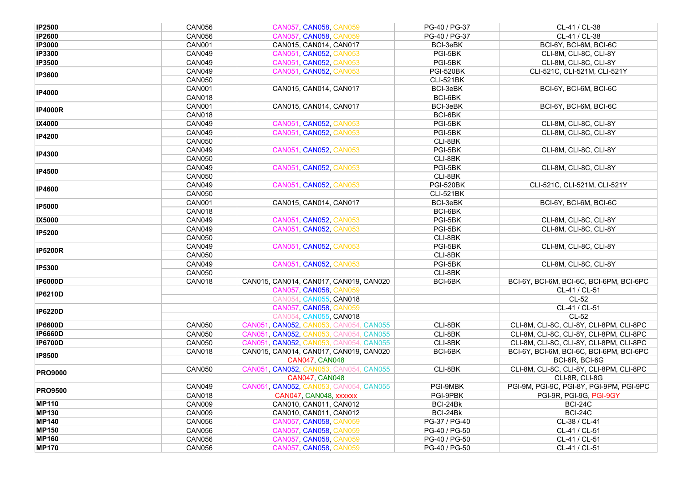| <b>IP2500</b>  | <b>CAN056</b> | CAN057, CAN058, CAN059                 | PG-40 / PG-37    | CL-41 / CL-38                            |
|----------------|---------------|----------------------------------------|------------------|------------------------------------------|
| <b>IP2600</b>  | <b>CAN056</b> | CAN057, CAN058, CAN059                 | PG-40 / PG-37    | CL-41 / CL-38                            |
| <b>IP3000</b>  | <b>CAN001</b> | CAN015, CAN014, CAN017                 | BCI-3eBK         | BCI-6Y, BCI-6M, BCI-6C                   |
| <b>IP3300</b>  | <b>CAN049</b> | CAN051, CAN052, CAN053                 | PGI-5BK          | CLI-8M, CLI-8C, CLI-8Y                   |
| <b>IP3500</b>  | <b>CAN049</b> | CAN051, CAN052, CAN053                 | PGI-5BK          | CLI-8M, CLI-8C, CLI-8Y                   |
|                | <b>CAN049</b> | CAN051, CAN052, CAN053                 | <b>PGI-520BK</b> | CLI-521C, CLI-521M, CLI-521Y             |
| <b>IP3600</b>  | <b>CAN050</b> |                                        | <b>CLI-521BK</b> |                                          |
|                | <b>CAN001</b> | CAN015, CAN014, CAN017                 | BCI-3eBK         | BCI-6Y, BCI-6M, BCI-6C                   |
| <b>IP4000</b>  | <b>CAN018</b> |                                        | BCI-6BK          |                                          |
|                | <b>CAN001</b> | CAN015, CAN014, CAN017                 | BCI-3eBK         | BCI-6Y, BCI-6M, BCI-6C                   |
| <b>IP4000R</b> | <b>CAN018</b> |                                        | BCI-6BK          |                                          |
| IX4000         | <b>CAN049</b> | CAN051, CAN052, CAN053                 | PGI-5BK          | CLI-8M, CLI-8C, CLI-8Y                   |
|                | <b>CAN049</b> | CAN051 CAN052 CAN053                   | PGI-5BK          | CLI-8M, CLI-8C, CLI-8Y                   |
| <b>IP4200</b>  | <b>CAN050</b> |                                        | CLI-8BK          |                                          |
|                | <b>CAN049</b> | CAN051, CAN052, CAN053                 | PGI-5BK          | CLI-8M, CLI-8C, CLI-8Y                   |
| <b>IP4300</b>  | <b>CAN050</b> |                                        | CLI-8BK          |                                          |
|                | <b>CAN049</b> | CAN051, CAN052, CAN053                 | PGI-5BK          | CLI-8M, CLI-8C, CLI-8Y                   |
| <b>IP4500</b>  | <b>CAN050</b> |                                        | CLI-8BK          |                                          |
|                | <b>CAN049</b> | CAN051, CAN052, CAN053                 | <b>PGI-520BK</b> | CLI-521C, CLI-521M, CLI-521Y             |
| <b>IP4600</b>  | <b>CAN050</b> |                                        | <b>CLI-521BK</b> |                                          |
|                | <b>CAN001</b> | CAN015, CAN014, CAN017                 | BCI-3eBK         | BCI-6Y, BCI-6M, BCI-6C                   |
| <b>IP5000</b>  | <b>CAN018</b> |                                        | BCI-6BK          |                                          |
| IX5000         | <b>CAN049</b> | CAN051, CAN052, CAN053                 | PGI-5BK          | CLI-8M, CLI-8C, CLI-8Y                   |
|                | <b>CAN049</b> | CAN051, CAN052, CAN053                 | PGI-5BK          | CLI-8M. CLI-8C. CLI-8Y                   |
| <b>IP5200</b>  | <b>CAN050</b> |                                        | CLI-8BK          |                                          |
|                | <b>CAN049</b> | CAN051, CAN052, CAN053                 | PGI-5BK          | CLI-8M, CLI-8C, CLI-8Y                   |
| <b>IP5200R</b> | <b>CAN050</b> |                                        | CLI-8BK          |                                          |
|                | <b>CAN049</b> | CAN051, CAN052, CAN053                 | PGI-5BK          | CLI-8M, CLI-8C, CLI-8Y                   |
| <b>IP5300</b>  | <b>CAN050</b> |                                        | CLI-8BK          |                                          |
| <b>IP6000D</b> | <b>CAN018</b> | CAN015, CAN014, CAN017, CAN019, CAN020 | BCI-6BK          | BCI-6Y, BCI-6M, BCI-6C, BCI-6PM, BCI-6PC |
|                |               | CAN057, CAN058, CAN059                 |                  | CL-41 / CL-51                            |
| <b>IP6210D</b> |               | CAN054, CAN055, CAN018                 |                  | $CL-52$                                  |
|                |               | CAN057, CAN058, CAN059                 |                  | CL-41 / CL-51                            |
| <b>IP6220D</b> |               | CAN054, CAN055, CAN018                 |                  | $CL-52$                                  |
| <b>IP6600D</b> | <b>CAN050</b> | CAN051, CAN052, CAN053, CAN054, CAN055 | CLI-8BK          | CLI-8M, CLI-8C, CLI-8Y, CLI-8PM, CLI-8PC |
| <b>IP6660D</b> | <b>CAN050</b> | CAN051, CAN052, CAN053, CAN054, CAN055 | CLI-8BK          | CLI-8M, CLI-8C, CLI-8Y, CLI-8PM, CLI-8PC |
| <b>IP6700D</b> | <b>CAN050</b> | CAN051, CAN052, CAN053, CAN054, CAN055 | CLI-8BK          | CLI-8M, CLI-8C, CLI-8Y, CLI-8PM, CLI-8PC |
|                | <b>CAN018</b> | CAN015, CAN014, CAN017, CAN019, CAN020 | BCI-6BK          | BCI-6Y, BCI-6M, BCI-6C, BCI-6PM, BCI-6PC |
| <b>IP8500</b>  |               | <b>CAN047, CAN048</b>                  |                  | BCI-6R, BCI-6G                           |
| <b>PRO9000</b> | <b>CAN050</b> | CAN051, CAN052, CAN053, CAN054, CAN055 | CLI-8BK          | CLI-8M, CLI-8C, CLI-8Y, CLI-8PM, CLI-8PC |
|                |               | <b>CAN047, CAN048</b>                  |                  | CLI-8R, CLI-8G                           |
|                | <b>CAN049</b> | CAN051, CAN052, CAN053, CAN054, CAN055 | PGI-9MBK         | PGI-9M, PGI-9C, PGI-8Y, PGI-9PM, PGI-9PC |
| <b>PRO9500</b> | <b>CAN018</b> | CAN047, CAN048, xxxxxx                 | PGI-9PBK         | PGI-9R, PGI-9G, PGI-9GY                  |
| <b>MP110</b>   | CAN009        | CAN010, CAN011, CAN012                 | BCI-24Bk         | <b>BCI-24C</b>                           |
| <b>MP130</b>   | <b>CAN009</b> | CAN010, CAN011, CAN012                 | BCI-24Bk         | <b>BCI-24C</b>                           |
| <b>MP140</b>   | <b>CAN056</b> | CAN057, CAN058, CAN059                 | PG-37 / PG-40    | CL-38 / CL-41                            |
| <b>MP150</b>   | <b>CAN056</b> | CAN057, CAN058, CAN059                 | PG-40 / PG-50    | CL-41 / CL-51                            |
| <b>MP160</b>   | <b>CAN056</b> | CAN057, CAN058, CAN059                 | PG-40 / PG-50    | CL-41 / CL-51                            |
| <b>MP170</b>   | <b>CAN056</b> | CAN057, CAN058, CAN059                 | PG-40 / PG-50    | CL-41 / CL-51                            |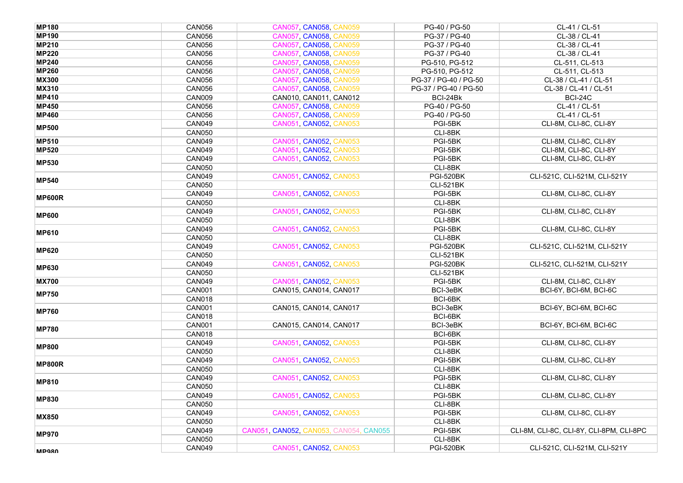| <b>MP180</b>  | <b>CAN056</b> | CAN057 CAN058, CAN059                  | PG-40 / PG-50         | CL-41 / CL-51                            |
|---------------|---------------|----------------------------------------|-----------------------|------------------------------------------|
| <b>MP190</b>  | <b>CAN056</b> | CAN057, CAN058, CAN059                 | PG-37 / PG-40         | CL-38 / CL-41                            |
| <b>MP210</b>  | <b>CAN056</b> | CAN057, CAN058, CAN059                 | PG-37 / PG-40         | CL-38 / CL-41                            |
| <b>MP220</b>  | <b>CAN056</b> | <b>CAN057 CAN058 CAN059</b>            | PG-37 / PG-40         | CL-38 / CL-41                            |
| <b>MP240</b>  | <b>CAN056</b> | CAN057, CAN058, CAN059                 | PG-510, PG-512        | CL-511, CL-513                           |
| <b>MP260</b>  | <b>CAN056</b> | CAN057, CAN058, CAN059                 | PG-510, PG-512        | CL-511, CL-513                           |
| <b>MX300</b>  | <b>CAN056</b> | CAN057, CAN058, CAN059                 | PG-37 / PG-40 / PG-50 | CL-38 / CL-41 / CL-51                    |
| <b>MX310</b>  | <b>CAN056</b> | CAN057, CAN058, CAN059                 | PG-37 / PG-40 / PG-50 | CL-38 / CL-41 / CL-51                    |
| <b>MP410</b>  | CAN009        | CAN010, CAN011, CAN012                 | BCI-24Bk              | <b>BCI-24C</b>                           |
| <b>MP450</b>  | <b>CAN056</b> | CAN057, CAN058, CAN059                 | PG-40 / PG-50         | CL-41 / CL-51                            |
| <b>MP460</b>  | <b>CAN056</b> | CAN057, CAN058, CAN059                 | PG-40 / PG-50         | CL-41 / CL-51                            |
|               | <b>CAN049</b> | CAN051, CAN052, CAN053                 | PGI-5BK               | CLI-8M, CLI-8C, CLI-8Y                   |
| <b>MP500</b>  | <b>CAN050</b> |                                        | CLI-8BK               |                                          |
| <b>MP510</b>  | <b>CAN049</b> | CAN051, CAN052, CAN053                 | PGI-5BK               | CLI-8M, CLI-8C, CLI-8Y                   |
| <b>MP520</b>  | <b>CAN049</b> | CAN051, CAN052, CAN053                 | PGI-5BK               | CLI-8M, CLI-8C, CLI-8Y                   |
|               | <b>CAN049</b> | CAN051, CAN052, CAN053                 | PGI-5BK               | CLI-8M, CLI-8C, CLI-8Y                   |
| <b>MP530</b>  | <b>CAN050</b> |                                        | CLI-8BK               |                                          |
|               | <b>CAN049</b> | CAN051, CAN052, CAN053                 | <b>PGI-520BK</b>      | CLI-521C, CLI-521M, CLI-521Y             |
| <b>MP540</b>  | <b>CAN050</b> |                                        | <b>CLI-521BK</b>      |                                          |
|               | <b>CAN049</b> | CAN051, CAN052, CAN053                 | PGI-5BK               | CLI-8M, CLI-8C, CLI-8Y                   |
| <b>MP600R</b> | <b>CAN050</b> |                                        | CLI-8BK               |                                          |
|               | <b>CAN049</b> | CAN051, CAN052, CAN053                 | PGI-5BK               | CLI-8M, CLI-8C, CLI-8Y                   |
| <b>MP600</b>  | <b>CAN050</b> |                                        | CLI-8BK               |                                          |
|               | <b>CAN049</b> | CAN051, CAN052, CAN053                 | PGI-5BK               | CLI-8M, CLI-8C, CLI-8Y                   |
| <b>MP610</b>  | <b>CAN050</b> |                                        | CLI-8BK               |                                          |
| <b>MP620</b>  | <b>CAN049</b> | CAN051, CAN052, CAN053                 | <b>PGI-520BK</b>      | CLI-521C, CLI-521M, CLI-521Y             |
|               | <b>CAN050</b> |                                        | <b>CLI-521BK</b>      |                                          |
| <b>MP630</b>  | <b>CAN049</b> | CAN051, CAN052, CAN053                 | <b>PGI-520BK</b>      | CLI-521C, CLI-521M, CLI-521Y             |
|               | <b>CAN050</b> |                                        | <b>CLI-521BK</b>      |                                          |
| <b>MX700</b>  | <b>CAN049</b> | CAN051, CAN052, CAN053                 | PGI-5BK               | CLI-8M, CLI-8C, CLI-8Y                   |
| <b>MP750</b>  | <b>CAN001</b> | CAN015, CAN014, CAN017                 | BCI-3eBK              | BCI-6Y, BCI-6M, BCI-6C                   |
|               | <b>CAN018</b> |                                        | BCI-6BK               |                                          |
| <b>MP760</b>  | <b>CAN001</b> | CAN015, CAN014, CAN017                 | BCI-3eBK              | BCI-6Y, BCI-6M, BCI-6C                   |
|               | <b>CAN018</b> |                                        | BCI-6BK               |                                          |
| <b>MP780</b>  | <b>CAN001</b> | CAN015, CAN014, CAN017                 | BCI-3eBK              | BCI-6Y, BCI-6M, BCI-6C                   |
|               | <b>CAN018</b> |                                        | BCI-6BK               |                                          |
| <b>MP800</b>  | <b>CAN049</b> | CAN051, CAN052, CAN053                 | PGI-5BK               | CLI-8M, CLI-8C, CLI-8Y                   |
|               | <b>CAN050</b> |                                        | CLI-8BK               |                                          |
| <b>MP800R</b> | <b>CAN049</b> | CAN051, CAN052, CAN053                 | PGI-5BK               | CLI-8M, CLI-8C, CLI-8Y                   |
|               | <b>CAN050</b> |                                        | CLI-8BK               |                                          |
| <b>MP810</b>  | <b>CAN049</b> | CAN051, CAN052, CAN053                 | PGI-5BK               | CLI-8M, CLI-8C, CLI-8Y                   |
|               | <b>CAN050</b> |                                        | CLI-8BK               |                                          |
| <b>MP830</b>  | <b>CAN049</b> | CAN051, CAN052, CAN053                 | PGI-5BK               | CLI-8M, CLI-8C, CLI-8Y                   |
|               | <b>CAN050</b> |                                        | CLI-8BK               |                                          |
| <b>MX850</b>  | <b>CAN049</b> | CAN051, CAN052, CAN053                 | PGI-5BK               | CLI-8M, CLI-8C, CLI-8Y                   |
|               | <b>CAN050</b> |                                        | CLI-8BK               |                                          |
| <b>MP970</b>  | <b>CAN049</b> | CAN051, CAN052, CAN053, CAN054, CAN055 | PGI-5BK               | CLI-8M, CLI-8C, CLI-8Y, CLI-8PM, CLI-8PC |
|               | <b>CAN050</b> |                                        | CLI-8BK               |                                          |
| <b>MPQRN</b>  | <b>CAN049</b> | CAN051, CAN052, CAN053                 | <b>PGI-520BK</b>      | CLI-521C, CLI-521M, CLI-521Y             |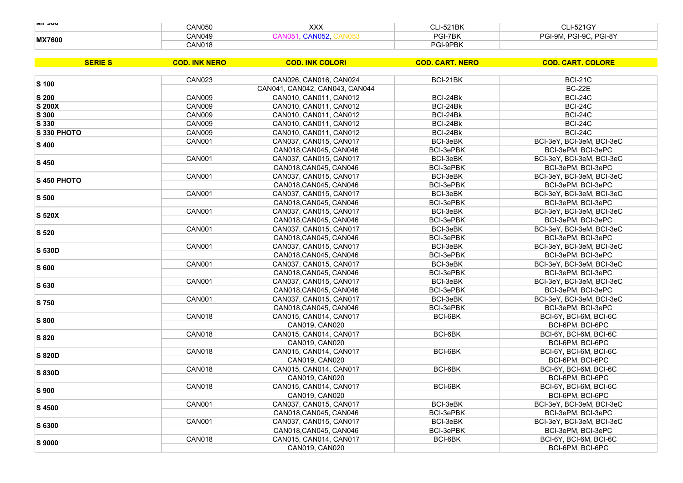| $ $ IVIT JUV  | <b>CAN050</b> | XXX  | <b>I-521BK</b> | C11E24CV<br>-1-5216                  |
|---------------|---------------|------|----------------|--------------------------------------|
| <b>MX7600</b> | <b>CAN049</b> | 100Z | PGI-7BK        | ∕GI-9C<br>PGI-8Y<br>ומח<br>ימם<br>9Μ |
|               | <b>CAN018</b> |      | PGI-9PBK       |                                      |

| <b>SERIE S</b> | <b>COD. INK NERO</b> | <b>COD. INK COLORI</b>         | <b>COD. CART. NERO</b> | <b>COD. CART. COLORE</b>  |
|----------------|----------------------|--------------------------------|------------------------|---------------------------|
|                | <b>CAN023</b>        | CAN026, CAN016, CAN024         | BCI-21BK               | <b>BCI-21C</b>            |
| S 100          |                      | CAN041, CAN042, CAN043, CAN044 |                        | <b>BC-22E</b>             |
| S 200          | <b>CAN009</b>        | CAN010, CAN011, CAN012         | BCI-24Bk               | <b>BCI-24C</b>            |
| S 200X         | CAN009               | CAN010, CAN011, CAN012         | BCI-24Bk               | <b>BCI-24C</b>            |
| S 300          | CAN009               | CAN010, CAN011, CAN012         | BCI-24Bk               | <b>BCI-24C</b>            |
| S 330          | <b>CAN009</b>        | CAN010, CAN011, CAN012         | BCI-24Bk               | <b>BCI-24C</b>            |
| S 330 PHOTO    | <b>CAN009</b>        | CAN010, CAN011, CAN012         | BCI-24Bk               | <b>BCI-24C</b>            |
|                | <b>CAN001</b>        | CAN037, CAN015, CAN017         | BCI-3eBK               | BCI-3eY, BCI-3eM, BCI-3eC |
| S 400          |                      | CAN018, CAN045, CAN046         | BCI-3ePBK              | BCI-3ePM, BCI-3ePC        |
|                | <b>CAN001</b>        | CAN037, CAN015, CAN017         | BCI-3eBK               | BCI-3eY, BCI-3eM, BCI-3eC |
| S 450          |                      | CAN018.CAN045. CAN046          | BCI-3ePBK              | BCI-3ePM, BCI-3ePC        |
|                | <b>CAN001</b>        | CAN037, CAN015, CAN017         | BCI-3eBK               | BCI-3eY, BCI-3eM, BCI-3eC |
| S 450 PHOTO    |                      | CAN018, CAN045, CAN046         | BCI-3ePBK              | BCI-3ePM, BCI-3ePC        |
|                | <b>CAN001</b>        | CAN037, CAN015, CAN017         | BCI-3eBK               | BCI-3eY, BCI-3eM, BCI-3eC |
| S 500          |                      | CAN018, CAN045, CAN046         | <b>BCI-3ePBK</b>       | BCI-3ePM. BCI-3ePC        |
| S 520X         | <b>CAN001</b>        | CAN037, CAN015, CAN017         | BCI-3eBK               | BCI-3eY, BCI-3eM, BCI-3eC |
|                |                      | CAN018, CAN045, CAN046         | BCI-3ePBK              | BCI-3ePM, BCI-3ePC        |
|                | <b>CAN001</b>        | CAN037, CAN015, CAN017         | BCI-3eBK               | BCI-3eY, BCI-3eM, BCI-3eC |
| S 520          |                      | CAN018, CAN045, CAN046         | BCI-3ePBK              | BCI-3ePM, BCI-3ePC        |
| S 530D         | <b>CAN001</b>        | CAN037, CAN015, CAN017         | BCI-3eBK               | BCI-3eY, BCI-3eM, BCI-3eC |
|                |                      | CAN018, CAN045, CAN046         | BCI-3ePBK              | BCI-3ePM, BCI-3ePC        |
| S 600          | <b>CAN001</b>        | CAN037, CAN015, CAN017         | BCI-3eBK               | BCI-3eY, BCI-3eM, BCI-3eC |
|                |                      | CAN018, CAN045, CAN046         | BCI-3ePBK              | BCI-3ePM, BCI-3ePC        |
| S 630          | <b>CAN001</b>        | CAN037, CAN015, CAN017         | BCI-3eBK               | BCI-3eY, BCI-3eM, BCI-3eC |
|                |                      | CAN018, CAN045, CAN046         | <b>BCI-3ePBK</b>       | BCI-3ePM, BCI-3ePC        |
| S 750          | <b>CAN001</b>        | CAN037, CAN015, CAN017         | BCI-3eBK               | BCI-3eY, BCI-3eM, BCI-3eC |
|                |                      | CAN018, CAN045, CAN046         | BCI-3ePBK              | BCI-3ePM, BCI-3ePC        |
| S 800          | <b>CAN018</b>        | CAN015, CAN014, CAN017         | BCI-6BK                | BCI-6Y, BCI-6M, BCI-6C    |
|                |                      | CAN019, CAN020                 |                        | BCI-6PM, BCI-6PC          |
| S 820          | <b>CAN018</b>        | CAN015, CAN014, CAN017         | BCI-6BK                | BCI-6Y, BCI-6M, BCI-6C    |
|                |                      | CAN019, CAN020                 |                        | BCI-6PM, BCI-6PC          |
| <b>S 820D</b>  | <b>CAN018</b>        | CAN015, CAN014, CAN017         | BCI-6BK                | BCI-6Y, BCI-6M, BCI-6C    |
|                |                      | CAN019, CAN020                 |                        | BCI-6PM, BCI-6PC          |
| S 830D         | <b>CAN018</b>        | CAN015, CAN014, CAN017         | BCI-6BK                | BCI-6Y, BCI-6M, BCI-6C    |
|                |                      | CAN019, CAN020                 |                        | BCI-6PM, BCI-6PC          |
| S 900          | <b>CAN018</b>        | CAN015, CAN014, CAN017         | BCI-6BK                | BCI-6Y, BCI-6M, BCI-6C    |
|                |                      | CAN019, CAN020                 |                        | BCI-6PM, BCI-6PC          |
| S 4500         | <b>CAN001</b>        | CAN037, CAN015, CAN017         | BCI-3eBK               | BCI-3eY, BCI-3eM, BCI-3eC |
|                |                      | CAN018, CAN045, CAN046         | BCI-3ePBK              | BCI-3ePM, BCI-3ePC        |
| S 6300         | <b>CAN001</b>        | CAN037, CAN015, CAN017         | BCI-3eBK               | BCI-3eY, BCI-3eM, BCI-3eC |
|                |                      | CAN018, CAN045, CAN046         | BCI-3ePBK              | BCI-3ePM, BCI-3ePC        |
| S 9000         | <b>CAN018</b>        | CAN015, CAN014, CAN017         | BCI-6BK                | BCI-6Y, BCI-6M, BCI-6C    |
|                |                      | CAN019, CAN020                 |                        | BCI-6PM, BCI-6PC          |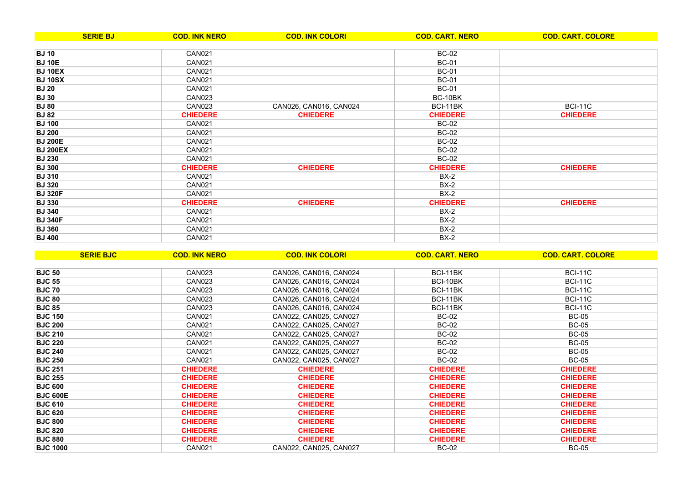| <b>SERIE BJ</b> | <b>COD. INK NERO</b> | <b>COD. INK COLORI</b> | <b>COD. CART. NERO</b> | <b>COD. CART. COLORE</b> |
|-----------------|----------------------|------------------------|------------------------|--------------------------|
|                 |                      |                        |                        |                          |
| <b>BJ10</b>     | CAN <sub>021</sub>   |                        | <b>BC-02</b>           |                          |
| <b>BJ 10E</b>   | <b>CAN021</b>        |                        | <b>BC-01</b>           |                          |
| <b>BJ 10EX</b>  | <b>CAN021</b>        |                        | <b>BC-01</b>           |                          |
| <b>BJ 10SX</b>  | <b>CAN021</b>        |                        | <b>BC-01</b>           |                          |
| <b>BJ 20</b>    | <b>CAN021</b>        |                        | <b>BC-01</b>           |                          |
| <b>BJ</b> 30    | <b>CAN023</b>        |                        | <b>BC-10BK</b>         |                          |
| <b>BJ 80</b>    | <b>CAN023</b>        | CAN026, CAN016, CAN024 | BCI-11BK               | <b>BCI-11C</b>           |
| <b>BJ 82</b>    | <b>CHIEDERE</b>      | <b>CHIEDERE</b>        | <b>CHIEDERE</b>        | <b>CHIEDERE</b>          |
| <b>BJ 100</b>   | CAN021               |                        | <b>BC-02</b>           |                          |
| <b>BJ 200</b>   | CAN021               |                        | <b>BC-02</b>           |                          |
| <b>BJ 200E</b>  | <b>CAN021</b>        |                        | <b>BC-02</b>           |                          |
| <b>BJ 200EX</b> | <b>CAN021</b>        |                        | <b>BC-02</b>           |                          |
| <b>BJ 230</b>   | <b>CAN021</b>        |                        | <b>BC-02</b>           |                          |
| <b>BJ 300</b>   | <b>CHIEDERE</b>      | <b>CHIEDERE</b>        | <b>CHIEDERE</b>        | <b>CHIEDERE</b>          |
| <b>BJ 310</b>   | <b>CAN021</b>        |                        | $BX-2$                 |                          |
| <b>BJ 320</b>   | CAN021               |                        | $BX-2$                 |                          |
| <b>BJ 320F</b>  | CAN <sub>021</sub>   |                        | $BX-2$                 |                          |
| <b>BJ 330</b>   | <b>CHIEDERE</b>      | <b>CHIEDERE</b>        | <b>CHIEDERE</b>        | <b>CHIEDERE</b>          |
| <b>BJ 340</b>   | <b>CAN021</b>        |                        | $BX-2$                 |                          |
| <b>BJ 340F</b>  | <b>CAN021</b>        |                        | $BX-2$                 |                          |
| <b>BJ 360</b>   | <b>CAN021</b>        |                        | $BX-2$                 |                          |
| <b>BJ 400</b>   | <b>CAN021</b>        |                        | $BX-2$                 |                          |

| <b>SERIE BJC</b> | <b>COD. INK NERO</b> | <b>COD. INK COLORI</b> | <b>COD. CART. NERO</b> | <b>COD. CART. COLORE</b> |
|------------------|----------------------|------------------------|------------------------|--------------------------|
|                  |                      |                        |                        |                          |
| <b>BJC 50</b>    | <b>CAN023</b>        | CAN026, CAN016, CAN024 | BCI-11BK               | <b>BCI-11C</b>           |
| <b>BJC 55</b>    | <b>CAN023</b>        | CAN026, CAN016, CAN024 | BCI-10BK               | <b>BCI-11C</b>           |
| <b>BJC 70</b>    | CAN023               | CAN026, CAN016, CAN024 | BCI-11BK               | <b>BCI-11C</b>           |
| <b>BJC 80</b>    | CAN023               | CAN026, CAN016, CAN024 | BCI-11BK               | <b>BCI-11C</b>           |
| <b>BJC 85</b>    | <b>CAN023</b>        | CAN026, CAN016, CAN024 | BCI-11BK               | <b>BCI-11C</b>           |
| <b>BJC 150</b>   | <b>CAN021</b>        | CAN022, CAN025, CAN027 | <b>BC-02</b>           | <b>BC-05</b>             |
| <b>BJC 200</b>   | <b>CAN021</b>        | CAN022, CAN025, CAN027 | <b>BC-02</b>           | <b>BC-05</b>             |
| <b>BJC 210</b>   | <b>CAN021</b>        | CAN022, CAN025, CAN027 | <b>BC-02</b>           | <b>BC-05</b>             |
| <b>BJC 220</b>   | <b>CAN021</b>        | CAN022, CAN025, CAN027 | <b>BC-02</b>           | <b>BC-05</b>             |
| <b>BJC 240</b>   | <b>CAN021</b>        | CAN022, CAN025, CAN027 | <b>BC-02</b>           | <b>BC-05</b>             |
| <b>BJC 250</b>   | <b>CAN021</b>        | CAN022, CAN025, CAN027 | <b>BC-02</b>           | <b>BC-05</b>             |
| <b>BJC 251</b>   | <b>CHIEDERE</b>      | <b>CHIEDERE</b>        | <b>CHIEDERE</b>        | <b>CHIEDERE</b>          |
| <b>BJC 255</b>   | <b>CHIEDERE</b>      | <b>CHIEDERE</b>        | <b>CHIEDERE</b>        | <b>CHIEDERE</b>          |
| <b>BJC 600</b>   | <b>CHIEDERE</b>      | <b>CHIEDERE</b>        | <b>CHIEDERE</b>        | <b>CHIEDERE</b>          |
| <b>BJC 600E</b>  | <b>CHIEDERE</b>      | <b>CHIEDERE</b>        | <b>CHIEDERE</b>        | <b>CHIEDERE</b>          |
| <b>BJC 610</b>   | <b>CHIEDERE</b>      | <b>CHIEDERE</b>        | <b>CHIEDERE</b>        | <b>CHIEDERE</b>          |
| <b>BJC 620</b>   | <b>CHIEDERE</b>      | <b>CHIEDERE</b>        | <b>CHIEDERE</b>        | <b>CHIEDERE</b>          |
| <b>BJC 800</b>   | <b>CHIEDERE</b>      | <b>CHIEDERE</b>        | <b>CHIEDERE</b>        | <b>CHIEDERE</b>          |
| <b>BJC 820</b>   | <b>CHIEDERE</b>      | <b>CHIEDERE</b>        | <b>CHIEDERE</b>        | <b>CHIEDERE</b>          |
| <b>BJC 880</b>   | <b>CHIEDERE</b>      | <b>CHIEDERE</b>        | <b>CHIEDERE</b>        | <b>CHIEDERE</b>          |
| <b>BJC 1000</b>  | <b>CAN021</b>        | CAN022, CAN025, CAN027 | <b>BC-02</b>           | <b>BC-05</b>             |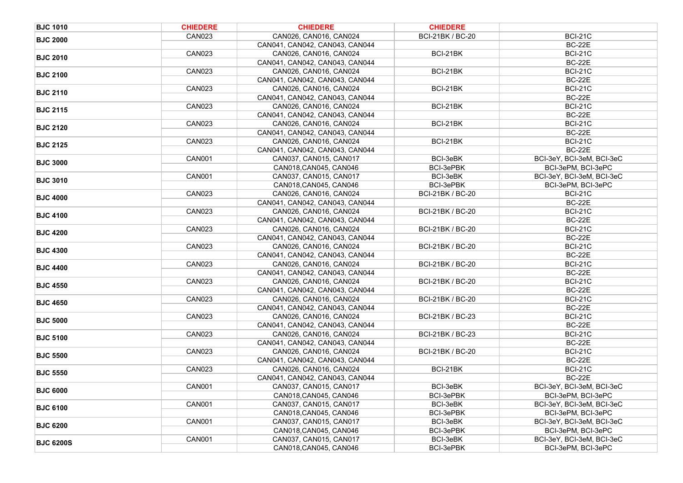| <b>BJC 1010</b>  | <b>CHIEDERE</b> | <b>CHIEDERE</b>                                          | <b>CHIEDERE</b>         |                                 |
|------------------|-----------------|----------------------------------------------------------|-------------------------|---------------------------------|
| <b>BJC 2000</b>  | <b>CAN023</b>   | CAN026, CAN016, CAN024                                   | BCI-21BK / BC-20        | <b>BCI-21C</b>                  |
|                  |                 | CAN041, CAN042, CAN043, CAN044                           |                         | <b>BC-22E</b>                   |
| <b>BJC 2010</b>  | <b>CAN023</b>   | CAN026, CAN016, CAN024                                   | BCI-21BK                | <b>BCI-21C</b>                  |
|                  |                 | CAN041, CAN042, CAN043, CAN044                           |                         | <b>BC-22E</b>                   |
| <b>BJC 2100</b>  | <b>CAN023</b>   | CAN026, CAN016, CAN024                                   | BCI-21BK                | <b>BCI-21C</b>                  |
|                  |                 | CAN041, CAN042, CAN043, CAN044                           |                         | <b>BC-22E</b>                   |
| <b>BJC 2110</b>  | <b>CAN023</b>   | CAN026, CAN016, CAN024                                   | BCI-21BK                | <b>BCI-21C</b>                  |
|                  |                 | CAN041, CAN042, CAN043, CAN044                           |                         | <b>BC-22E</b>                   |
| <b>BJC 2115</b>  | <b>CAN023</b>   | CAN026, CAN016, CAN024                                   | BCI-21BK                | <b>BCI-21C</b>                  |
|                  |                 | CAN041, CAN042, CAN043, CAN044                           |                         | <b>BC-22E</b>                   |
| <b>BJC 2120</b>  | <b>CAN023</b>   | CAN026, CAN016, CAN024                                   | BCI-21BK                | <b>BCI-21C</b>                  |
|                  |                 | CAN041, CAN042, CAN043, CAN044                           |                         | <b>BC-22E</b>                   |
| <b>BJC 2125</b>  | <b>CAN023</b>   | CAN026, CAN016, CAN024                                   | BCI-21BK                | <b>BCI-21C</b>                  |
|                  |                 | CAN041, CAN042, CAN043, CAN044                           |                         | <b>BC-22E</b>                   |
| <b>BJC 3000</b>  | <b>CAN001</b>   | CAN037, CAN015, CAN017                                   | BCI-3eBK                | BCI-3eY, BCI-3eM, BCI-3eC       |
|                  |                 | CAN018, CAN045, CAN046                                   | BCI-3ePBK               | BCI-3ePM, BCI-3ePC              |
| <b>BJC 3010</b>  | <b>CAN001</b>   | CAN037, CAN015, CAN017                                   | BCI-3eBK                | BCI-3eY, BCI-3eM, BCI-3eC       |
|                  |                 | CAN018, CAN045, CAN046                                   | BCI-3ePBK               | BCI-3ePM, BCI-3ePC              |
| <b>BJC 4000</b>  | <b>CAN023</b>   | CAN026, CAN016, CAN024                                   | <b>BCI-21BK / BC-20</b> | <b>BCI-21C</b>                  |
|                  |                 | CAN041, CAN042, CAN043, CAN044                           |                         | <b>BC-22E</b>                   |
| <b>BJC 4100</b>  | <b>CAN023</b>   | CAN026, CAN016, CAN024                                   | <b>BCI-21BK / BC-20</b> | <b>BCI-21C</b>                  |
|                  |                 | CAN041, CAN042, CAN043, CAN044                           |                         | <b>BC-22E</b>                   |
| <b>BJC 4200</b>  | <b>CAN023</b>   | CAN026, CAN016, CAN024                                   | <b>BCI-21BK / BC-20</b> | <b>BCI-21C</b>                  |
|                  |                 | CAN041, CAN042, CAN043, CAN044                           |                         | <b>BC-22E</b>                   |
| <b>BJC 4300</b>  | <b>CAN023</b>   | CAN026, CAN016, CAN024<br>CAN041, CAN042, CAN043, CAN044 | <b>BCI-21BK / BC-20</b> | <b>BCI-21C</b><br><b>BC-22E</b> |
|                  | <b>CAN023</b>   | CAN026, CAN016, CAN024                                   | BCI-21BK / BC-20        | <b>BCI-21C</b>                  |
| <b>BJC 4400</b>  |                 | CAN041, CAN042, CAN043, CAN044                           |                         | <b>BC-22E</b>                   |
|                  | <b>CAN023</b>   | CAN026, CAN016, CAN024                                   | BCI-21BK / BC-20        | <b>BCI-21C</b>                  |
| <b>BJC 4550</b>  |                 | CAN041, CAN042, CAN043, CAN044                           |                         | <b>BC-22E</b>                   |
|                  | <b>CAN023</b>   | CAN026, CAN016, CAN024                                   | <b>BCI-21BK / BC-20</b> | <b>BCI-21C</b>                  |
| <b>BJC 4650</b>  |                 | CAN041, CAN042, CAN043, CAN044                           |                         | <b>BC-22E</b>                   |
|                  | <b>CAN023</b>   | CAN026, CAN016, CAN024                                   | <b>BCI-21BK / BC-23</b> | <b>BCI-21C</b>                  |
| <b>BJC 5000</b>  |                 | CAN041, CAN042, CAN043, CAN044                           |                         | <b>BC-22E</b>                   |
|                  | <b>CAN023</b>   | CAN026, CAN016, CAN024                                   | <b>BCI-21BK / BC-23</b> | <b>BCI-21C</b>                  |
| <b>BJC 5100</b>  |                 | CAN041, CAN042, CAN043, CAN044                           |                         | <b>BC-22E</b>                   |
|                  | <b>CAN023</b>   | CAN026, CAN016, CAN024                                   | BCI-21BK / BC-20        | <b>BCI-21C</b>                  |
| <b>BJC 5500</b>  |                 | CAN041, CAN042, CAN043, CAN044                           |                         | <b>BC-22E</b>                   |
|                  | <b>CAN023</b>   | CAN026, CAN016, CAN024                                   | BCI-21BK                | <b>BCI-21C</b>                  |
| <b>BJC 5550</b>  |                 | CAN041, CAN042, CAN043, CAN044                           |                         | <b>BC-22E</b>                   |
|                  | <b>CAN001</b>   | CAN037, CAN015, CAN017                                   | BCI-3eBK                | BCI-3eY, BCI-3eM, BCI-3eC       |
| <b>BJC 6000</b>  |                 | CAN018, CAN045, CAN046                                   | BCI-3ePBK               | BCI-3ePM, BCI-3ePC              |
|                  | <b>CAN001</b>   | CAN037, CAN015, CAN017                                   | BCI-3eBK                | BCI-3eY, BCI-3eM, BCI-3eC       |
| <b>BJC 6100</b>  |                 | CAN018, CAN045, CAN046                                   | BCI-3ePBK               | BCI-3ePM, BCI-3ePC              |
| <b>BJC 6200</b>  | CAN001          | CAN037, CAN015, CAN017                                   | BCI-3eBK                | BCI-3eY, BCI-3eM, BCI-3eC       |
|                  |                 | CAN018, CAN045, CAN046                                   | BCI-3ePBK               | BCI-3ePM, BCI-3ePC              |
| <b>BJC 6200S</b> | <b>CAN001</b>   | CAN037, CAN015, CAN017                                   | BCI-3eBK                | BCI-3eY, BCI-3eM, BCI-3eC       |
|                  |                 | CAN018, CAN045, CAN046                                   | BCI-3ePBK               | BCI-3ePM, BCI-3ePC              |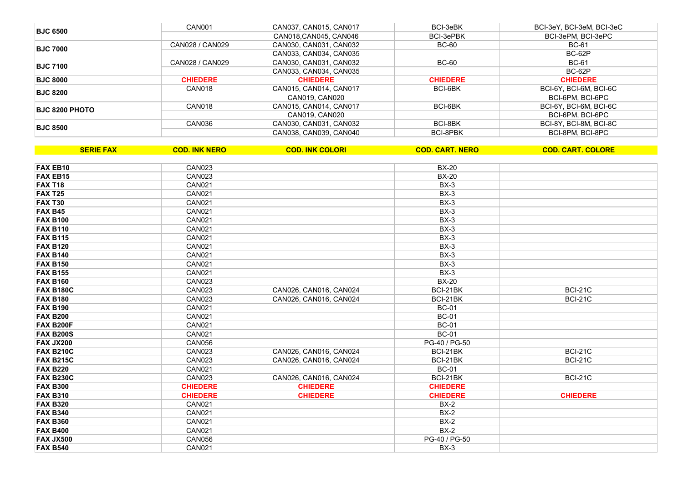| <b>BJC 6500</b>       | CAN001          | CAN037, CAN015, CAN017 | BCI-3eBK        | BCI-3eY, BCI-3eM, BCI-3eC |
|-----------------------|-----------------|------------------------|-----------------|---------------------------|
|                       |                 | CAN018, CAN045, CAN046 | BCI-3ePBK       | BCI-3ePM, BCI-3ePC        |
| <b>BJC 7000</b>       | CAN028 / CAN029 | CAN030, CAN031, CAN032 | BC-60           | <b>BC-61</b>              |
|                       |                 | CAN033, CAN034, CAN035 |                 | BC-62P                    |
| <b>BJC 7100</b>       | CAN028 / CAN029 | CAN030, CAN031, CAN032 | BC-60           | BC-61                     |
|                       |                 | CAN033, CAN034, CAN035 |                 | BC-62P                    |
| <b>BJC 8000</b>       | <b>CHIEDERE</b> | <b>CHIEDERE</b>        | <b>CHIEDERE</b> | <b>CHIEDERE</b>           |
| <b>BJC 8200</b>       | CAN018          | CAN015, CAN014, CAN017 | BCI-6BK         | BCI-6Y, BCI-6M, BCI-6C    |
|                       |                 | CAN019, CAN020         |                 | BCI-6PM, BCI-6PC          |
| <b>BJC 8200 PHOTO</b> | CAN018          | CAN015, CAN014, CAN017 | BCI-6BK         | BCI-6Y, BCI-6M, BCI-6C    |
|                       |                 | CAN019, CAN020         |                 | BCI-6PM, BCI-6PC          |
| <b>BJC 8500</b>       | CAN036          | CAN030, CAN031, CAN032 | BCI-8BK         | BCI-8Y, BCI-8M, BCI-8C    |
|                       |                 | CAN038, CAN039, CAN040 | BCI-8PBK        | BCI-8PM, BCI-8PC          |

| <b>SERIE FAX</b> | <b>COD. INK NERO</b> | <b>COD. INK COLORI</b> | <b>COD. CART. NERO</b> | <b>COD. CART. COLORE</b> |
|------------------|----------------------|------------------------|------------------------|--------------------------|
|                  |                      |                        |                        |                          |
| <b>FAX EB10</b>  | <b>CAN023</b>        |                        | <b>BX-20</b>           |                          |
| <b>FAX EB15</b>  | <b>CAN023</b>        |                        | <b>BX-20</b>           |                          |
| <b>FAX T18</b>   | <b>CAN021</b>        |                        | $BX-3$                 |                          |
| <b>FAX T25</b>   | <b>CAN021</b>        |                        | $BX-3$                 |                          |
| <b>FAX T30</b>   | <b>CAN021</b>        |                        | $BX-3$                 |                          |
| <b>FAX B45</b>   | <b>CAN021</b>        |                        | $BX-3$                 |                          |
| <b>FAX B100</b>  | <b>CAN021</b>        |                        | $BX-3$                 |                          |
| <b>FAX B110</b>  | <b>CAN021</b>        |                        | $BX-3$                 |                          |
| <b>FAX B115</b>  | <b>CAN021</b>        |                        | $BX-3$                 |                          |
| <b>FAX B120</b>  | <b>CAN021</b>        |                        | $BX-3$                 |                          |
| <b>FAX B140</b>  | <b>CAN021</b>        |                        | $BX-3$                 |                          |
| <b>FAX B150</b>  | <b>CAN021</b>        |                        | $BX-3$                 |                          |
| <b>FAX B155</b>  | <b>CAN021</b>        |                        | $BX-3$                 |                          |
| <b>FAX B160</b>  | <b>CAN023</b>        |                        | <b>BX-20</b>           |                          |
| <b>FAX B180C</b> | <b>CAN023</b>        | CAN026, CAN016, CAN024 | BCI-21BK               | <b>BCI-21C</b>           |
| <b>FAX B180</b>  | <b>CAN023</b>        | CAN026, CAN016, CAN024 | BCI-21BK               | <b>BCI-21C</b>           |
| <b>FAX B190</b>  | <b>CAN021</b>        |                        | <b>BC-01</b>           |                          |
| <b>FAX B200</b>  | <b>CAN021</b>        |                        | <b>BC-01</b>           |                          |
| <b>FAX B200F</b> | <b>CAN021</b>        |                        | <b>BC-01</b>           |                          |
| <b>FAX B200S</b> | <b>CAN021</b>        |                        | <b>BC-01</b>           |                          |
| <b>FAX JX200</b> | <b>CAN056</b>        |                        | PG-40 / PG-50          |                          |
| <b>FAX B210C</b> | <b>CAN023</b>        | CAN026, CAN016, CAN024 | BCI-21BK               | <b>BCI-21C</b>           |
| <b>FAX B215C</b> | <b>CAN023</b>        | CAN026, CAN016, CAN024 | BCI-21BK               | <b>BCI-21C</b>           |
| <b>FAX B220</b>  | <b>CAN021</b>        |                        | <b>BC-01</b>           |                          |
| <b>FAX B230C</b> | <b>CAN023</b>        | CAN026, CAN016, CAN024 | BCI-21BK               | <b>BCI-21C</b>           |
| <b>FAX B300</b>  | <b>CHIEDERE</b>      | <b>CHIEDERE</b>        | <b>CHIEDERE</b>        |                          |
| <b>FAX B310</b>  | <b>CHIEDERE</b>      | <b>CHIEDERE</b>        | <b>CHIEDERE</b>        | <b>CHIEDERE</b>          |
| <b>FAX B320</b>  | <b>CAN021</b>        |                        | $BX-2$                 |                          |
| <b>FAX B340</b>  | <b>CAN021</b>        |                        | $BX-2$                 |                          |
| <b>FAX B360</b>  | <b>CAN021</b>        |                        | $BX-2$                 |                          |
| <b>FAX B400</b>  | <b>CAN021</b>        |                        | $BX-2$                 |                          |
| <b>FAX JX500</b> | <b>CAN056</b>        |                        | PG-40 / PG-50          |                          |
| <b>FAX B540</b>  | <b>CAN021</b>        |                        | $BX-3$                 |                          |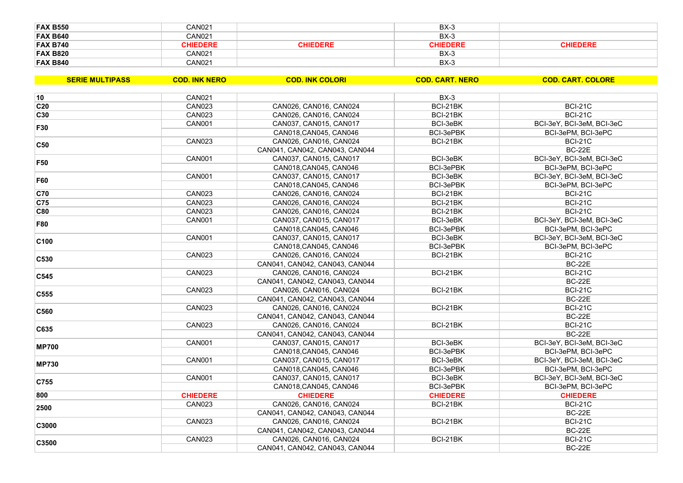| <b>FAX B550</b> | CAN021          |                 | $BX-3$          |                 |
|-----------------|-----------------|-----------------|-----------------|-----------------|
| <b>FAX B640</b> | CAN021          |                 | $BX-3$          |                 |
| <b>FAX B740</b> | <b>CHIEDERE</b> | <b>CHIEDERE</b> | <b>CHIEDERE</b> | <b>CHIEDERE</b> |
| <b>FAX B820</b> | CAN021          |                 | $BX-3$          |                 |
| <b>FAX B840</b> | CAN021          |                 | $BX-3$          |                 |

| <b>SERIE MULTIPASS</b> | <b>COD. INK NERO</b> | <b>COD. INK COLORI</b>         | <b>COD. CART. NERO</b> | <b>COD. CART. COLORE</b>  |
|------------------------|----------------------|--------------------------------|------------------------|---------------------------|
| 10                     | <b>CAN021</b>        |                                |                        |                           |
|                        |                      |                                | $BX-3$                 |                           |
| C <sub>20</sub>        | <b>CAN023</b>        | CAN026, CAN016, CAN024         | BCI-21BK               | <b>BCI-21C</b>            |
| C30                    | <b>CAN023</b>        | CAN026, CAN016, CAN024         | BCI-21BK               | <b>BCI-21C</b>            |
| F30                    | <b>CAN001</b>        | CAN037, CAN015, CAN017         | BCI-3eBK               | BCI-3eY, BCI-3eM, BCI-3eC |
|                        |                      | CAN018, CAN045, CAN046         | BCI-3ePBK              | BCI-3ePM, BCI-3ePC        |
| C50                    | <b>CAN023</b>        | CAN026, CAN016, CAN024         | BCI-21BK               | <b>BCI-21C</b>            |
|                        |                      | CAN041, CAN042, CAN043, CAN044 |                        | <b>BC-22E</b>             |
| F <sub>50</sub>        | <b>CAN001</b>        | CAN037, CAN015, CAN017         | BCI-3eBK               | BCI-3eY, BCI-3eM, BCI-3eC |
|                        |                      | CAN018, CAN045, CAN046         | BCI-3ePBK              | BCI-3ePM, BCI-3ePC        |
| F60                    | <b>CAN001</b>        | CAN037, CAN015, CAN017         | BCI-3eBK               | BCI-3eY, BCI-3eM, BCI-3eC |
|                        |                      | CAN018, CAN045, CAN046         | BCI-3ePBK              | BCI-3ePM, BCI-3ePC        |
| C70                    | <b>CAN023</b>        | CAN026, CAN016, CAN024         | BCI-21BK               | <b>BCI-21C</b>            |
| C75                    | <b>CAN023</b>        | CAN026, CAN016, CAN024         | BCI-21BK               | <b>BCI-21C</b>            |
| <b>C80</b>             | <b>CAN023</b>        | CAN026, CAN016, CAN024         | BCI-21BK               | <b>BCI-21C</b>            |
| <b>F80</b>             | <b>CAN001</b>        | CAN037, CAN015, CAN017         | BCI-3eBK               | BCI-3eY, BCI-3eM, BCI-3eC |
|                        |                      | CAN018, CAN045, CAN046         | BCI-3ePBK              | BCI-3ePM, BCI-3ePC        |
|                        | <b>CAN001</b>        | CAN037, CAN015, CAN017         | BCI-3eBK               | BCI-3eY, BCI-3eM, BCI-3eC |
| C <sub>100</sub>       |                      | CAN018, CAN045, CAN046         | BCI-3ePBK              | BCI-3ePM, BCI-3ePC        |
|                        | <b>CAN023</b>        | CAN026, CAN016, CAN024         | BCI-21BK               | <b>BCI-21C</b>            |
| C530                   |                      | CAN041, CAN042, CAN043, CAN044 |                        | <b>BC-22E</b>             |
|                        | <b>CAN023</b>        | CAN026, CAN016, CAN024         | BCI-21BK               | <b>BCI-21C</b>            |
| C545                   |                      | CAN041, CAN042, CAN043, CAN044 |                        | <b>BC-22E</b>             |
|                        | <b>CAN023</b>        | CAN026, CAN016, CAN024         | BCI-21BK               | <b>BCI-21C</b>            |
| C555                   |                      | CAN041, CAN042, CAN043, CAN044 |                        | <b>BC-22E</b>             |
|                        | <b>CAN023</b>        | CAN026, CAN016, CAN024         | BCI-21BK               | <b>BCI-21C</b>            |
| C560                   |                      | CAN041, CAN042, CAN043, CAN044 |                        | <b>BC-22E</b>             |
|                        | <b>CAN023</b>        | CAN026, CAN016, CAN024         | BCI-21BK               | <b>BCI-21C</b>            |
| C635                   |                      | CAN041, CAN042, CAN043, CAN044 |                        | <b>BC-22E</b>             |
|                        | <b>CAN001</b>        | CAN037, CAN015, CAN017         | BCI-3eBK               | BCI-3eY, BCI-3eM, BCI-3eC |
| <b>MP700</b>           |                      | CAN018, CAN045, CAN046         | BCI-3ePBK              | BCI-3ePM, BCI-3ePC        |
|                        | <b>CAN001</b>        | CAN037, CAN015, CAN017         | BCI-3eBK               | BCI-3eY, BCI-3eM, BCI-3eC |
| <b>MP730</b>           |                      | CAN018, CAN045, CAN046         | BCI-3ePBK              | BCI-3ePM, BCI-3ePC        |
|                        | <b>CAN001</b>        | CAN037, CAN015, CAN017         | BCI-3eBK               | BCI-3eY, BCI-3eM, BCI-3eC |
| C755                   |                      | CAN018, CAN045, CAN046         | BCI-3ePBK              | BCI-3ePM, BCI-3ePC        |
| 800                    | <b>CHIEDERE</b>      | <b>CHIEDERE</b>                | <b>CHIEDERE</b>        | <b>CHIEDERE</b>           |
|                        | <b>CAN023</b>        | CAN026, CAN016, CAN024         | BCI-21BK               | <b>BCI-21C</b>            |
| 2500                   |                      | CAN041, CAN042, CAN043, CAN044 |                        | <b>BC-22E</b>             |
|                        | <b>CAN023</b>        | CAN026, CAN016, CAN024         | BCI-21BK               | <b>BCI-21C</b>            |
| C3000                  |                      | CAN041, CAN042, CAN043, CAN044 |                        | <b>BC-22E</b>             |
|                        |                      |                                |                        | <b>BCI-21C</b>            |
| C3500                  | <b>CAN023</b>        | CAN026, CAN016, CAN024         | BCI-21BK               |                           |
|                        |                      | CAN041, CAN042, CAN043, CAN044 |                        | <b>BC-22E</b>             |